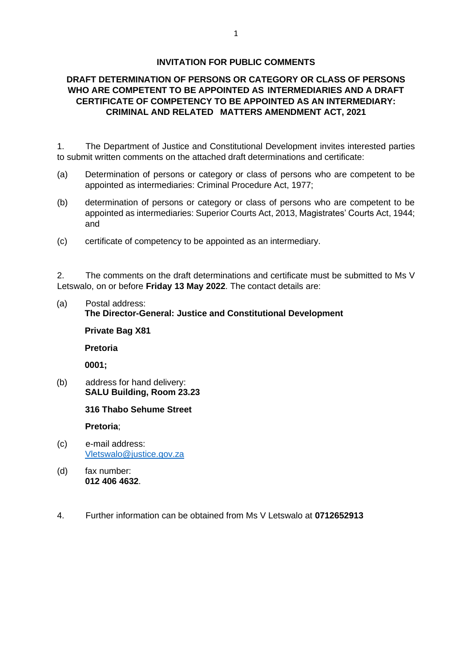### **INVITATION FOR PUBLIC COMMENTS**

### **DRAFT DETERMINATION OF PERSONS OR CATEGORY OR CLASS OF PERSONS WHO ARE COMPETENT TO BE APPOINTED AS INTERMEDIARIES AND A DRAFT CERTIFICATE OF COMPETENCY TO BE APPOINTED AS AN INTERMEDIARY: CRIMINAL AND RELATED MATTERS AMENDMENT ACT, 2021**

1. The Department of Justice and Constitutional Development invites interested parties to submit written comments on the attached draft determinations and certificate:

- (a) Determination of persons or category or class of persons who are competent to be appointed as intermediaries: Criminal Procedure Act, 1977;
- (b) determination of persons or category or class of persons who are competent to be appointed as intermediaries: Superior Courts Act, 2013, Magistrates' Courts Act, 1944; and
- (c) certificate of competency to be appointed as an intermediary.

2. The comments on the draft determinations and certificate must be submitted to Ms V Letswalo, on or before **Friday 13 May 2022**. The contact details are:

### (a) Postal address:

### **The Director-General: Justice and Constitutional Development**

#### **Private Bag X81**

**Pretoria**

**0001;**

(b) address for hand delivery: **SALU Building, Room 23.23**

#### **316 Thabo Sehume Street**

**Pretoria**;

- (c) e-mail address: [Vletswalo@justice.gov.za](mailto:Vletswalo@justice.gov.za)
- (d) fax number: **012 406 4632**.
- 4. Further information can be obtained from Ms V Letswalo at **0712652913**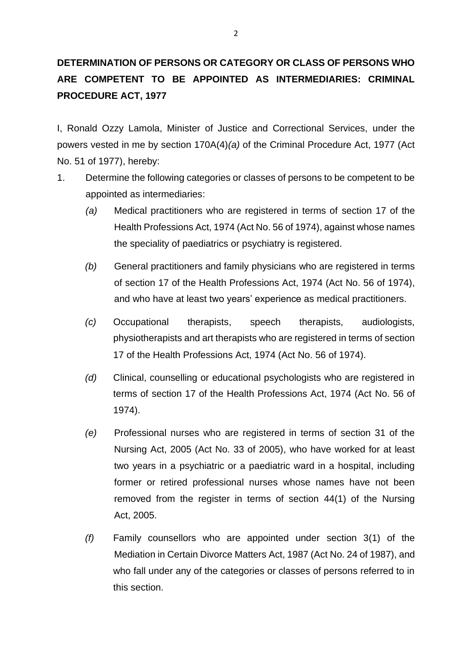# **DETERMINATION OF PERSONS OR CATEGORY OR CLASS OF PERSONS WHO ARE COMPETENT TO BE APPOINTED AS INTERMEDIARIES: CRIMINAL PROCEDURE ACT, 1977**

I, Ronald Ozzy Lamola, Minister of Justice and Correctional Services, under the powers vested in me by section 170A(4)*(a)* of the Criminal Procedure Act, 1977 (Act No. 51 of 1977), hereby:

- 1. Determine the following categories or classes of persons to be competent to be appointed as intermediaries:
	- *(a)* Medical practitioners who are registered in terms of section 17 of the Health Professions Act, 1974 (Act No. 56 of 1974), against whose names the speciality of paediatrics or psychiatry is registered.
	- *(b)* General practitioners and family physicians who are registered in terms of section 17 of the Health Professions Act, 1974 (Act No. 56 of 1974), and who have at least two years' experience as medical practitioners.
	- *(c)* Occupational therapists, speech therapists, audiologists, physiotherapists and art therapists who are registered in terms of section 17 of the Health Professions Act, 1974 (Act No. 56 of 1974).
	- *(d)* Clinical, counselling or educational psychologists who are registered in terms of section 17 of the Health Professions Act, 1974 (Act No. 56 of 1974).
	- *(e)* Professional nurses who are registered in terms of section 31 of the Nursing Act, 2005 (Act No. 33 of 2005), who have worked for at least two years in a psychiatric or a paediatric ward in a hospital, including former or retired professional nurses whose names have not been removed from the register in terms of section 44(1) of the Nursing Act, 2005.
	- *(f)* Family counsellors who are appointed under section 3(1) of the Mediation in Certain Divorce Matters Act, 1987 (Act No. 24 of 1987), and who fall under any of the categories or classes of persons referred to in this section.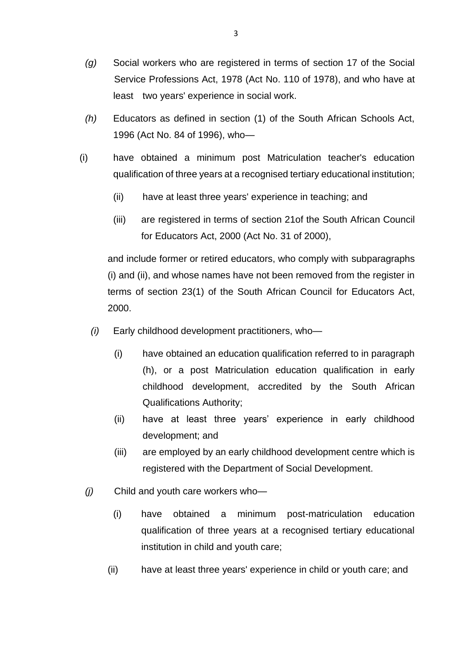- *(g)* Social workers who are registered in terms of section 17 of the Social Service Professions Act, 1978 (Act No. 110 of 1978), and who have at least two years' experience in social work.
- *(h)* Educators as defined in section (1) of the South African Schools Act, 1996 (Act No. 84 of 1996), who—
- (i) have obtained a minimum post Matriculation teacher's education qualification of three years at a recognised tertiary educational institution;
	- (ii) have at least three years' experience in teaching; and
	- (iii) are registered in terms of section 21of the South African Council for Educators Act, 2000 (Act No. 31 of 2000),

and include former or retired educators, who comply with subparagraphs (i) and (ii), and whose names have not been removed from the register in terms of section 23(1) of the South African Council for Educators Act, 2000.

- *(i)* Early childhood development practitioners, who—
	- (i) have obtained an education qualification referred to in paragraph (h), or a post Matriculation education qualification in early childhood development, accredited by the South African Qualifications Authority;
	- (ii) have at least three years' experience in early childhood development; and
	- (iii) are employed by an early childhood development centre which is registered with the Department of Social Development.
- *(j)* Child and youth care workers who—
	- (i) have obtained a minimum post-matriculation education qualification of three years at a recognised tertiary educational institution in child and youth care;
	- (ii) have at least three years' experience in child or youth care; and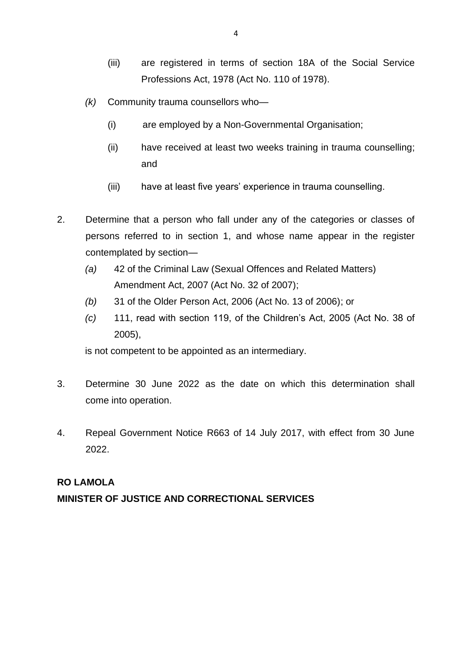- (iii) are registered in terms of section 18A of the Social Service Professions Act, 1978 (Act No. 110 of 1978).
- *(k)* Community trauma counsellors who—
	- (i) are employed by a Non-Governmental Organisation;
	- (ii) have received at least two weeks training in trauma counselling; and
	- (iii) have at least five years' experience in trauma counselling.
- 2. Determine that a person who fall under any of the categories or classes of persons referred to in section 1, and whose name appear in the register contemplated by section—
	- *(a)* 42 of the Criminal Law (Sexual Offences and Related Matters) Amendment Act, 2007 (Act No. 32 of 2007);
	- *(b)* 31 of the Older Person Act, 2006 (Act No. 13 of 2006); or
	- *(c)* 111, read with section 119, of the Children's Act, 2005 (Act No. 38 of 2005),

is not competent to be appointed as an intermediary.

- 3. Determine 30 June 2022 as the date on which this determination shall come into operation.
- 4. Repeal Government Notice R663 of 14 July 2017, with effect from 30 June 2022.

### **RO LAMOLA**

## **MINISTER OF JUSTICE AND CORRECTIONAL SERVICES**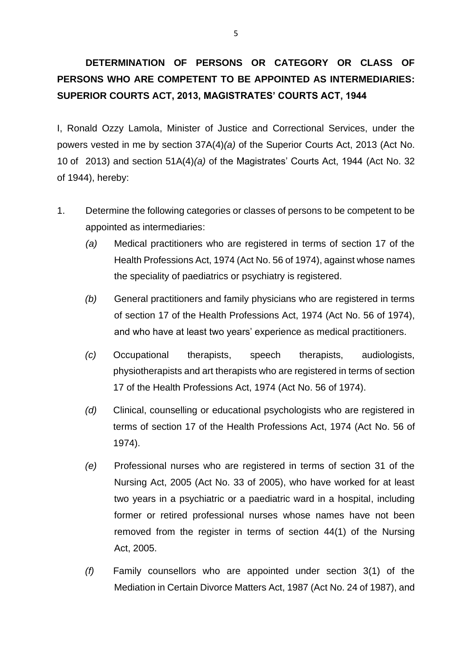# **DETERMINATION OF PERSONS OR CATEGORY OR CLASS OF PERSONS WHO ARE COMPETENT TO BE APPOINTED AS INTERMEDIARIES: SUPERIOR COURTS ACT, 2013, MAGISTRATES' COURTS ACT, 1944**

I, Ronald Ozzy Lamola, Minister of Justice and Correctional Services, under the powers vested in me by section 37A(4)*(a)* of the Superior Courts Act, 2013 (Act No. 10 of 2013) and section 51A(4)*(a)* of the Magistrates' Courts Act, 1944 (Act No. 32 of 1944), hereby:

- 1. Determine the following categories or classes of persons to be competent to be appointed as intermediaries:
	- *(a)* Medical practitioners who are registered in terms of section 17 of the Health Professions Act, 1974 (Act No. 56 of 1974), against whose names the speciality of paediatrics or psychiatry is registered.
	- *(b)* General practitioners and family physicians who are registered in terms of section 17 of the Health Professions Act, 1974 (Act No. 56 of 1974), and who have at least two years' experience as medical practitioners.
	- *(c)* Occupational therapists, speech therapists, audiologists, physiotherapists and art therapists who are registered in terms of section 17 of the Health Professions Act, 1974 (Act No. 56 of 1974).
	- *(d)* Clinical, counselling or educational psychologists who are registered in terms of section 17 of the Health Professions Act, 1974 (Act No. 56 of 1974).
	- *(e)* Professional nurses who are registered in terms of section 31 of the Nursing Act, 2005 (Act No. 33 of 2005), who have worked for at least two years in a psychiatric or a paediatric ward in a hospital, including former or retired professional nurses whose names have not been removed from the register in terms of section 44(1) of the Nursing Act, 2005.
	- *(f)* Family counsellors who are appointed under section 3(1) of the Mediation in Certain Divorce Matters Act, 1987 (Act No. 24 of 1987), and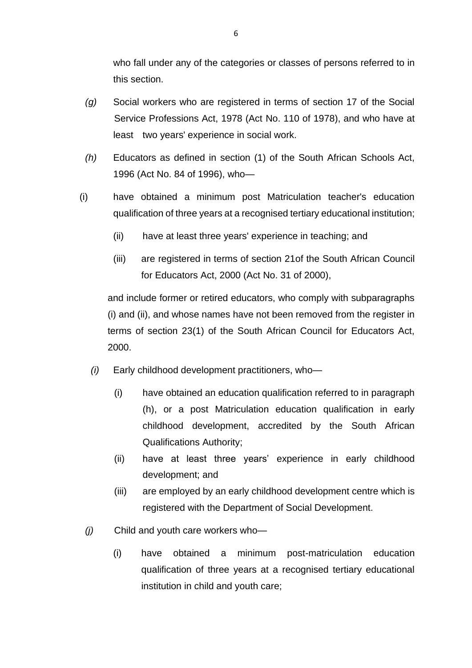who fall under any of the categories or classes of persons referred to in this section.

- *(g)* Social workers who are registered in terms of section 17 of the Social Service Professions Act, 1978 (Act No. 110 of 1978), and who have at least two years' experience in social work.
- *(h)* Educators as defined in section (1) of the South African Schools Act, 1996 (Act No. 84 of 1996), who—
- (i) have obtained a minimum post Matriculation teacher's education qualification of three years at a recognised tertiary educational institution;
	- (ii) have at least three years' experience in teaching; and
	- (iii) are registered in terms of section 21of the South African Council for Educators Act, 2000 (Act No. 31 of 2000),

and include former or retired educators, who comply with subparagraphs (i) and (ii), and whose names have not been removed from the register in terms of section 23(1) of the South African Council for Educators Act, 2000.

- *(i)* Early childhood development practitioners, who—
	- (i) have obtained an education qualification referred to in paragraph (h), or a post Matriculation education qualification in early childhood development, accredited by the South African Qualifications Authority;
	- (ii) have at least three years' experience in early childhood development; and
	- (iii) are employed by an early childhood development centre which is registered with the Department of Social Development.
- *(j)* Child and youth care workers who—
	- (i) have obtained a minimum post-matriculation education qualification of three years at a recognised tertiary educational institution in child and youth care;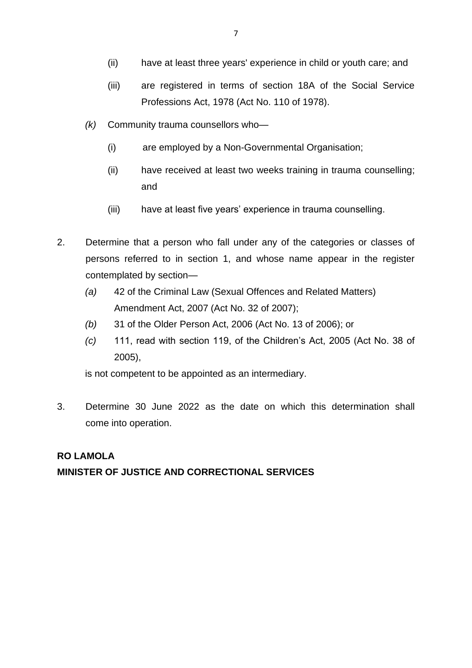- (ii) have at least three years' experience in child or youth care; and
- (iii) are registered in terms of section 18A of the Social Service Professions Act, 1978 (Act No. 110 of 1978).
- *(k)* Community trauma counsellors who—
	- (i) are employed by a Non-Governmental Organisation;
	- (ii) have received at least two weeks training in trauma counselling; and
	- (iii) have at least five years' experience in trauma counselling.
- 2. Determine that a person who fall under any of the categories or classes of persons referred to in section 1, and whose name appear in the register contemplated by section—
	- *(a)* 42 of the Criminal Law (Sexual Offences and Related Matters) Amendment Act, 2007 (Act No. 32 of 2007);
	- *(b)* 31 of the Older Person Act, 2006 (Act No. 13 of 2006); or
	- *(c)* 111, read with section 119, of the Children's Act, 2005 (Act No. 38 of 2005),

is not competent to be appointed as an intermediary.

3. Determine 30 June 2022 as the date on which this determination shall come into operation.

## **RO LAMOLA MINISTER OF JUSTICE AND CORRECTIONAL SERVICES**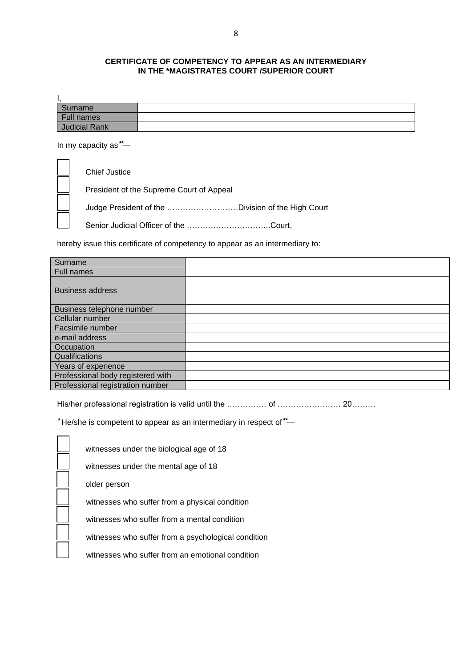#### **CERTIFICATE OF COMPETENCY TO APPEAR AS AN INTERMEDIARY IN THE \*MAGISTRATES COURT /SUPERIOR COURT**

| ٠.                   |  |
|----------------------|--|
| Surname              |  |
| Full names           |  |
| <b>Judicial Rank</b> |  |

In my capacity as  $*$ -

Chief Justice President of the Supreme Court of Appeal Judge President of the ………………………Division of the High Court Senior Judicial Officer of the …………………………..Court,

hereby issue this certificate of competency to appear as an intermediary to:

| Surname                           |  |
|-----------------------------------|--|
| <b>Full names</b>                 |  |
| <b>Business address</b>           |  |
| Business telephone number         |  |
| Cellular number                   |  |
| Facsimile number                  |  |
| e-mail address                    |  |
| Occupation                        |  |
| Qualifications                    |  |
| Years of experience               |  |
| Professional body registered with |  |
| Professional registration number  |  |

His/her professional registration is valid until the …………… of ……………………… 20………

 $*$ He/she is competent to appear as an intermediary in respect of  $*$ —

 $\blacksquare$  $\overline{\phantom{0}}$ 

witnesses under the biological age of 18

witnesses under the mental age of 18

older person

witnesses who suffer from a physical condition

witnesses who suffer from a mental condition

witnesses who suffer from a psychological condition

witnesses who suffer from an emotional condition